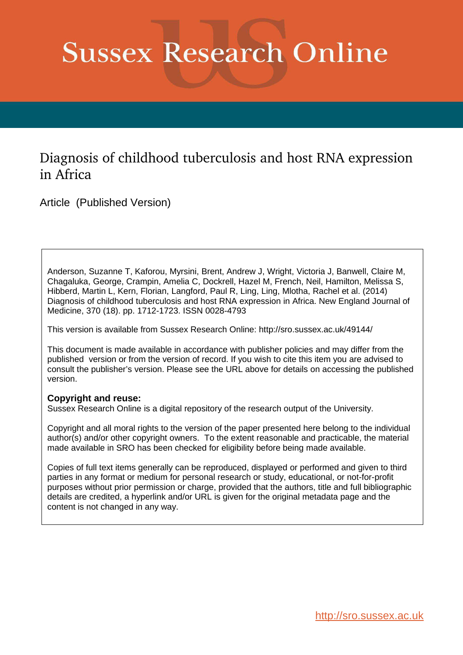# **Sussex Research Online**

## Diagnosis of childhood tuberculosis and host RNA expression in Africa

Article (Published Version)

Anderson, Suzanne T, Kaforou, Myrsini, Brent, Andrew J, Wright, Victoria J, Banwell, Claire M, Chagaluka, George, Crampin, Amelia C, Dockrell, Hazel M, French, Neil, Hamilton, Melissa S, Hibberd, Martin L, Kern, Florian, Langford, Paul R, Ling, Ling, Mlotha, Rachel et al. (2014) Diagnosis of childhood tuberculosis and host RNA expression in Africa. New England Journal of Medicine, 370 (18). pp. 1712-1723. ISSN 0028-4793

This version is available from Sussex Research Online: http://sro.sussex.ac.uk/49144/

This document is made available in accordance with publisher policies and may differ from the published version or from the version of record. If you wish to cite this item you are advised to consult the publisher's version. Please see the URL above for details on accessing the published version.

### **Copyright and reuse:**

Sussex Research Online is a digital repository of the research output of the University.

Copyright and all moral rights to the version of the paper presented here belong to the individual author(s) and/or other copyright owners. To the extent reasonable and practicable, the material made available in SRO has been checked for eligibility before being made available.

Copies of full text items generally can be reproduced, displayed or performed and given to third parties in any format or medium for personal research or study, educational, or not-for-profit purposes without prior permission or charge, provided that the authors, title and full bibliographic details are credited, a hyperlink and/or URL is given for the original metadata page and the content is not changed in any way.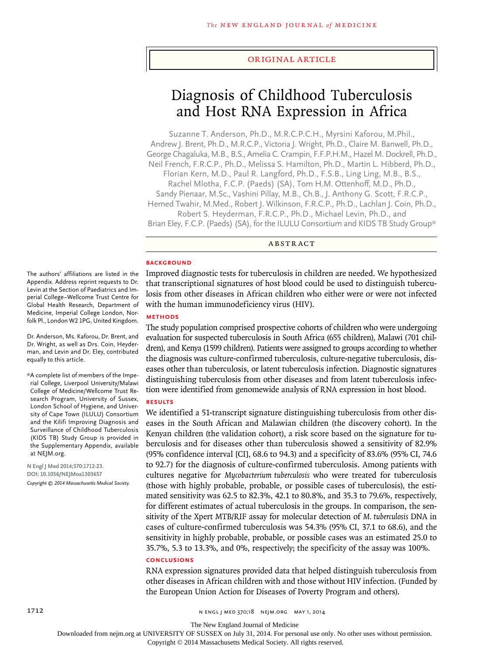#### original article

## Diagnosis of Childhood Tuberculosis and Host RNA Expression in Africa

Suzanne T. Anderson, Ph.D., M.R.C.P.C.H., Myrsini Kaforou, M.Phil., Andrew J. Brent, Ph.D., M.R.C.P., Victoria J. Wright, Ph.D., Claire M. Banwell, Ph.D., George Chagaluka, M.B., B.S., Amelia C. Crampin, F.F.P.H.M., Hazel M. Dockrell, Ph.D., Neil French, F.R.C.P., Ph.D., Melissa S. Hamilton, Ph.D., Martin L. Hibberd, Ph.D., Florian Kern, M.D., Paul R. Langford, Ph.D., F.S.B., Ling Ling, M.B., B.S., Rachel Mlotha, F.C.P. (Paeds) (SA), Tom H.M. Ottenhoff, M.D., Ph.D., Sandy Pienaar, M.Sc., Vashini Pillay, M.B., Ch.B., J. Anthony G. Scott, F.R.C.P., Hemed Twahir, M.Med., Robert J. Wilkinson, F.R.C.P., Ph.D., Lachlan J. Coin, Ph.D., Robert S. Heyderman, F.R.C.P., Ph.D., Michael Levin, Ph.D., and Brian Eley, F.C.P. (Paeds) (SA), for the ILULU Consortium and KIDS TB Study Group\*

Abstract

#### **BACKGROUND**

Improved diagnostic tests for tuberculosis in children are needed. We hypothesized that transcriptional signatures of host blood could be used to distinguish tuberculosis from other diseases in African children who either were or were not infected with the human immunodeficiency virus (HIV).

#### **Methods**

The study population comprised prospective cohorts of children who were undergoing evaluation for suspected tuberculosis in South Africa (655 children), Malawi (701 children), and Kenya (1599 children). Patients were assigned to groups according to whether the diagnosis was culture-confirmed tuberculosis, culture-negative tuberculosis, diseases other than tuberculosis, or latent tuberculosis infection. Diagnostic signatures distinguishing tuberculosis from other diseases and from latent tuberculosis infection were identified from genomewide analysis of RNA expression in host blood.

#### **Results**

We identified a 51-transcript signature distinguishing tuberculosis from other diseases in the South African and Malawian children (the discovery cohort). In the Kenyan children (the validation cohort), a risk score based on the signature for tuberculosis and for diseases other than tuberculosis showed a sensitivity of 82.9% (95% confidence interval [CI], 68.6 to 94.3) and a specificity of 83.6% (95% CI, 74.6 to 92.7) for the diagnosis of culture-confirmed tuberculosis. Among patients with cultures negative for *Mycobacterium tuberculosis* who were treated for tuberculosis (those with highly probable, probable, or possible cases of tuberculosis), the estimated sensitivity was 62.5 to 82.3%, 42.1 to 80.8%, and 35.3 to 79.6%, respectively, for different estimates of actual tuberculosis in the groups. In comparison, the sensitivity of the Xpert MTB/RIF assay for molecular detection of *M. tuberculosis* DNA in cases of culture-confirmed tuberculosis was 54.3% (95% CI, 37.1 to 68.6), and the sensitivity in highly probable, probable, or possible cases was an estimated 25.0 to 35.7%, 5.3 to 13.3%, and 0%, respectively; the specificity of the assay was 100%.

#### **Conclusions**

RNA expression signatures provided data that helped distinguish tuberculosis from other diseases in African children with and those without HIV infection. (Funded by the European Union Action for Diseases of Poverty Program and others).

Dr. Anderson, Ms. Kaforou, Dr. Brent, and Dr. Wright, as well as Drs. Coin, Heyderman, and Levin and Dr. Eley, contributed equally to this article.

\* A complete list of members of the Imperial College, Liverpool University/Malawi College of Medicine/Wellcome Trust Research Program, University of Sussex, London School of Hygiene, and University of Cape Town (ILULU) Consortium and the Kilifi Improving Diagnosis and Surveillance of Childhood Tuberculosis (KIDS TB) Study Group is provided in the Supplementary Appendix, available at NEJM.org.

**N Engl J Med 2014;370:1712-23. DOI: 10.1056/NEJMoa1303657** *Copyright © 2014 Massachusetts Medical Society.*

The New England Journal of Medicine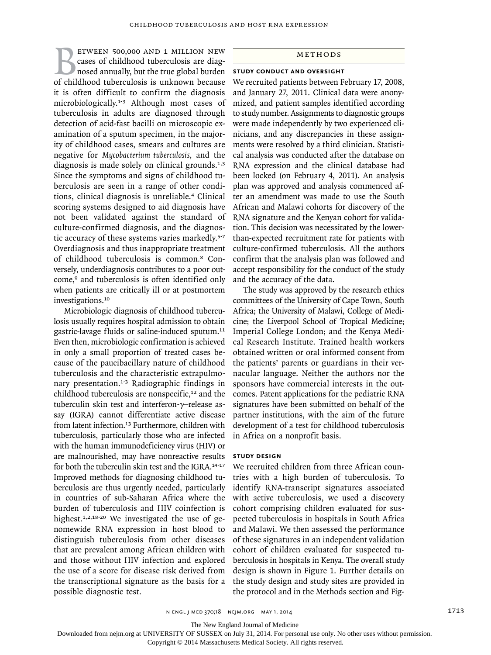ETWEEN 500,000 AND 1 MILLION NEW<br>
cases of childhood tuberculosis are diag-<br>
nosed annually, but the true global burden<br>
of childhood tuberculosis is unknown because etween 500,000 and 1 million new cases of childhood tuberculosis are diagnosed annually, but the true global burden it is often difficult to confirm the diagnosis microbiologically.<sup>1-3</sup> Although most cases of tuberculosis in adults are diagnosed through detection of acid-fast bacilli on microscopic examination of a sputum specimen, in the majority of childhood cases, smears and cultures are negative for *Mycobacterium tuberculosis*, and the diagnosis is made solely on clinical grounds. $1,3$ Since the symptoms and signs of childhood tuberculosis are seen in a range of other conditions, clinical diagnosis is unreliable.<sup>4</sup> Clinical scoring systems designed to aid diagnosis have not been validated against the standard of culture- confirmed diagnosis, and the diagnostic accuracy of these systems varies markedly.5-7 Overdiagnosis and thus inappropriate treatment of childhood tuberculosis is common.<sup>8</sup> Conversely, underdiagnosis contributes to a poor outcome,<sup>9</sup> and tuberculosis is often identified only when patients are critically ill or at postmortem investigations.<sup>10</sup>

Microbiologic diagnosis of childhood tuberculosis usually requires hospital admission to obtain gastric-lavage fluids or saline-induced sputum.<sup>11</sup> Even then, microbiologic confirmation is achieved in only a small proportion of treated cases because of the paucibacillary nature of childhood tuberculosis and the characteristic extrapulmonary presentation.<sup>1-3</sup> Radiographic findings in childhood tuberculosis are nonspecific,<sup>12</sup> and the tuberculin skin test and interferon-γ–release assay (IGRA) cannot differentiate active disease from latent infection.<sup>13</sup> Furthermore, children with tuberculosis, particularly those who are infected with the human immunodeficiency virus (HIV) or are malnourished, may have nonreactive results for both the tuberculin skin test and the IGRA.<sup>14-17</sup> Improved methods for diagnosing childhood tuberculosis are thus urgently needed, particularly in countries of sub-Saharan Africa where the burden of tuberculosis and HIV coinfection is highest.<sup>1,2,18-20</sup> We investigated the use of genomewide RNA expression in host blood to distinguish tuberculosis from other diseases that are prevalent among African children with and those without HIV infection and explored the use of a score for disease risk derived from the transcriptional signature as the basis for a possible diagnostic test.

#### Methods

#### **Study Conduct and Oversight**

We recruited patients between February 17, 2008, and January 27, 2011. Clinical data were anonymized, and patient samples identified according to study number. Assignments to diagnostic groups were made independently by two experienced clinicians, and any discrepancies in these assignments were resolved by a third clinician. Statistical analysis was conducted after the database on RNA expression and the clinical database had been locked (on February 4, 2011). An analysis plan was approved and analysis commenced after an amendment was made to use the South African and Malawi cohorts for discovery of the RNA signature and the Kenyan cohort for validation. This decision was necessitated by the lowerthan-expected recruitment rate for patients with culture-confirmed tuberculosis. All the authors confirm that the analysis plan was followed and accept responsibility for the conduct of the study and the accuracy of the data.

The study was approved by the research ethics committees of the University of Cape Town, South Africa; the University of Malawi, College of Medicine; the Liverpool School of Tropical Medicine; Imperial College London; and the Kenya Medical Research Institute. Trained health workers obtained written or oral informed consent from the patients' parents or guardians in their vernacular language. Neither the authors nor the sponsors have commercial interests in the outcomes. Patent applications for the pediatric RNA signatures have been submitted on behalf of the partner institutions, with the aim of the future development of a test for childhood tuberculosis in Africa on a nonprofit basis.

#### **Study design**

We recruited children from three African countries with a high burden of tuberculosis. To identify RNA-transcript signatures associated with active tuberculosis, we used a discovery cohort comprising children evaluated for suspected tuberculosis in hospitals in South Africa and Malawi. We then assessed the performance of these signatures in an independent validation cohort of children evaluated for suspected tuberculosis in hospitals in Kenya. The overall study design is shown in Figure 1. Further details on the study design and study sites are provided in the protocol and in the Methods section and Fig-

n engl j med 370;18 nejm.org may 1, 2014 1713

The New England Journal of Medicine

Downloaded from nejm.org at UNIVERSITY OF SUSSEX on July 31, 2014. For personal use only. No other uses without permission.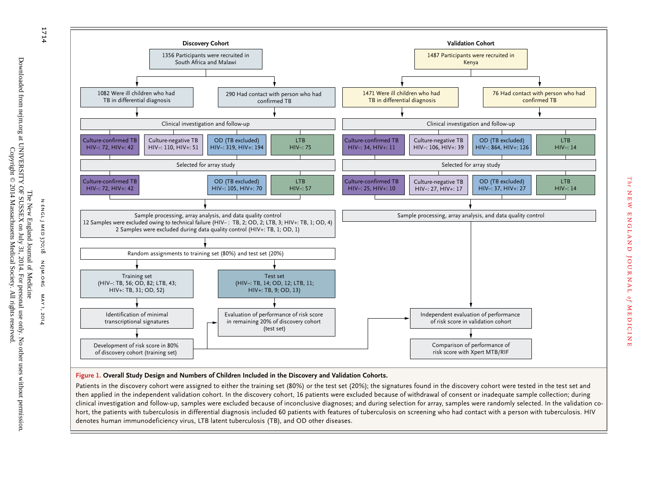

*The*

new england journal

*o f*

medicine

#### **Figure 1. Overall Study Design and Numbers of Children Included in the Discovery and Validation Cohorts.**

Patients in the discovery cohort were assigned to either the training set (80%) or the test set (20%); the signatures found in the discovery cohort were tested in the test set and then applied in the independent validation cohort. In the discovery cohort, 16 patients were excluded because of withdrawal of consent or inadequate sample collection; during clinical investigation and follow-up, samples were excluded because of inconclusive diagnoses; and during selection for array, samples were randomly selected. In the validation cohort, the patients with tuberculosis in differential diagnosis included 60 patients with features of tuberculosis on screening who had contact with a person with tuberculosis. HIV denotes human immunodeficiency virus, LTB latent tuberculosis (TB), and OD other diseases.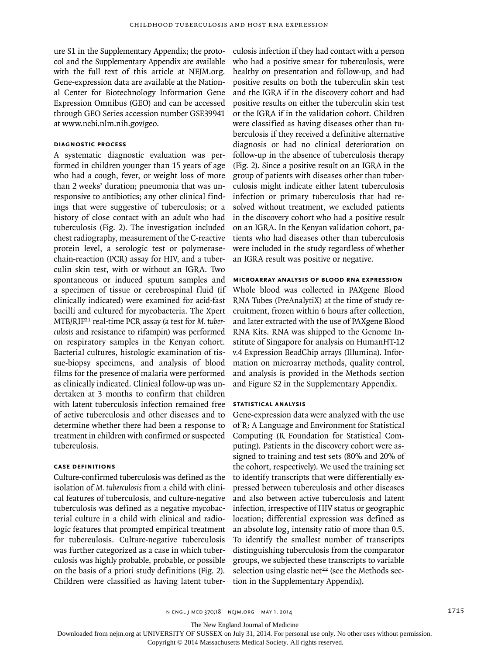ure S1 in the Supplementary Appendix; the protocol and the Supplementary Appendix are available with the full text of this article at NEJM.org. Gene-expression data are available at the National Center for Biotechnology Information Gene Expression Omnibus (GEO) and can be accessed through GEO Series accession number GSE39941 at www.ncbi.nlm.nih.gov/geo.

#### **Diagnostic Process**

A systematic diagnostic evaluation was performed in children younger than 15 years of age who had a cough, fever, or weight loss of more than 2 weeks' duration; pneumonia that was unresponsive to antibiotics; any other clinical findings that were suggestive of tuberculosis; or a history of close contact with an adult who had tuberculosis (Fig. 2). The investigation included chest radiography, measurement of the C-reactive protein level, a serologic test or polymerasechain-reaction (PCR) assay for HIV, and a tuberculin skin test, with or without an IGRA. Two spontaneous or induced sputum samples and a specimen of tissue or cerebrospinal fluid (if clinically indicated) were examined for acid-fast bacilli and cultured for mycobacteria. The Xpert MTB/RIF21 real-time PCR assay (a test for *M. tuberculosis* and resistance to rifampin) was performed on respiratory samples in the Kenyan cohort. Bacterial cultures, histologic examination of tissue-biopsy specimens, and analysis of blood films for the presence of malaria were performed as clinically indicated. Clinical follow-up was undertaken at 3 months to confirm that children with latent tuberculosis infection remained free of active tuberculosis and other diseases and to determine whether there had been a response to treatment in children with confirmed or suspected tuberculosis.

#### **Case Definitions**

Culture-confirmed tuberculosis was defined as the isolation of *M. tuberculosis* from a child with clinical features of tuberculosis, and culture-negative tuberculosis was defined as a negative mycobacterial culture in a child with clinical and radiologic features that prompted empirical treatment for tuberculosis. Culture-negative tuberculosis was further categorized as a case in which tuberculosis was highly probable, probable, or possible on the basis of a priori study definitions (Fig. 2). Children were classified as having latent tuberculosis infection if they had contact with a person who had a positive smear for tuberculosis, were healthy on presentation and follow-up, and had positive results on both the tuberculin skin test and the IGRA if in the discovery cohort and had positive results on either the tuberculin skin test or the IGRA if in the validation cohort. Children were classified as having diseases other than tuberculosis if they received a definitive alternative diagnosis or had no clinical deterioration on follow-up in the absence of tuberculosis therapy (Fig. 2). Since a positive result on an IGRA in the group of patients with diseases other than tuberculosis might indicate either latent tuberculosis infection or primary tuberculosis that had resolved without treatment, we excluded patients in the discovery cohort who had a positive result on an IGRA. In the Kenyan validation cohort, patients who had diseases other than tuberculosis were included in the study regardless of whether an IGRA result was positive or negative.

#### **Microarray Analysis of Blood RNA Expression**

Whole blood was collected in PAXgene Blood RNA Tubes (PreAnalytiX) at the time of study recruitment, frozen within 6 hours after collection, and later extracted with the use of PAXgene Blood RNA Kits. RNA was shipped to the Genome Institute of Singapore for analysis on HumanHT-12 v.4 Expression BeadChip arrays (Illumina). Information on microarray methods, quality control, and analysis is provided in the Methods section and Figure S2 in the Supplementary Appendix.

#### **Statistical Analysis**

Gene-expression data were analyzed with the use of R: A Language and Environment for Statistical Computing (R Foundation for Statistical Computing). Patients in the discovery cohort were assigned to training and test sets (80% and 20% of the cohort, respectively). We used the training set to identify transcripts that were differentially expressed between tuberculosis and other diseases and also between active tuberculosis and latent infection, irrespective of HIV status or geographic location; differential expression was defined as an absolute  $log<sub>2</sub>$  intensity ratio of more than 0.5. To identify the smallest number of transcripts distinguishing tuberculosis from the comparator groups, we subjected these transcripts to variable selection using elastic net<sup>22</sup> (see the Methods section in the Supplementary Appendix).

The New England Journal of Medicine

Downloaded from nejm.org at UNIVERSITY OF SUSSEX on July 31, 2014. For personal use only. No other uses without permission.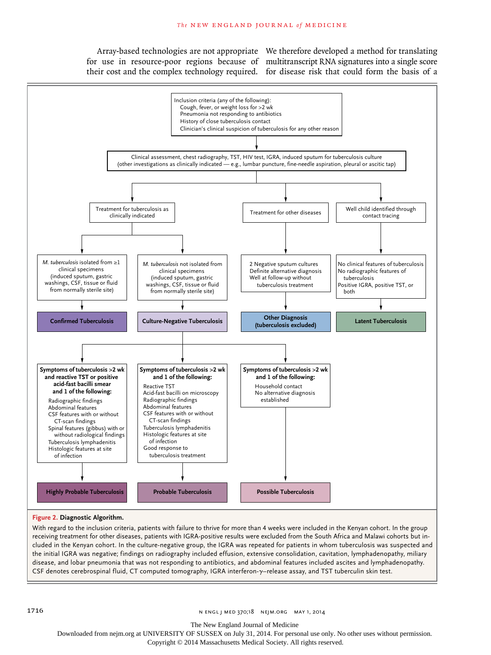their cost and the complex technology required. for disease risk that could form the basis of a

Array-based technologies are not appropriate We therefore developed a method for translating for use in resource-poor regions because of multitranscript RNA signatures into a single score



#### **Figure 2. Diagnostic Algorithm.**

With regard to the inclusion criteria, patients with failure to thrive for more than 4 weeks were included in the Kenyan cohort. In the group receiving treatment for other diseases, patients with IGRA-positive results were excluded from the South Africa and Malawi cohorts but included in the Kenyan cohort. In the culture-negative group, the IGRA was repeated for patients in whom tuberculosis was suspected and the initial IGRA was negative; findings on radiography included effusion, extensive consolidation, cavitation, lymphadenopathy, miliary disease, and lobar pneumonia that was not responding to antibiotics, and abdominal features included ascites and lymphadenopathy. CSF denotes cerebrospinal fluid, CT computed tomography, IGRA interferon-γ–release assay, and TST tuberculin skin test.

The New England Journal of Medicine

Downloaded from nejm.org at UNIVERSITY OF SUSSEX on July 31, 2014. For personal use only. No other uses without permission.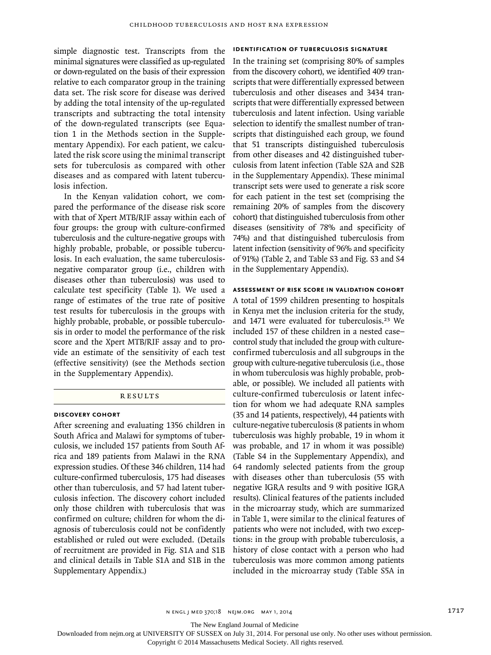simple diagnostic test. Transcripts from the minimal signatures were classified as up-regulated or down-regulated on the basis of their expression relative to each comparator group in the training data set. The risk score for disease was derived by adding the total intensity of the up-regulated transcripts and subtracting the total intensity of the down-regulated transcripts (see Equation 1 in the Methods section in the Supplementary Appendix). For each patient, we calculated the risk score using the minimal transcript sets for tuberculosis as compared with other diseases and as compared with latent tuberculosis infection.

In the Kenyan validation cohort, we compared the performance of the disease risk score with that of Xpert MTB/RIF assay within each of four groups: the group with culture-confirmed tuberculosis and the culture-negative groups with highly probable, probable, or possible tuberculosis. In each evaluation, the same tuberculosisnegative comparator group (i.e., children with diseases other than tuberculosis) was used to calculate test specificity (Table 1). We used a range of estimates of the true rate of positive test results for tuberculosis in the groups with highly probable, probable, or possible tuberculosis in order to model the performance of the risk score and the Xpert MTB/RIF assay and to provide an estimate of the sensitivity of each test (effective sensitivity) (see the Methods section in the Supplementary Appendix).

#### **RESULTS**

#### **Discovery Cohort**

After screening and evaluating 1356 children in South Africa and Malawi for symptoms of tuberculosis, we included 157 patients from South Africa and 189 patients from Malawi in the RNA expression studies. Of these 346 children, 114 had culture-confirmed tuberculosis, 175 had diseases other than tuberculosis, and 57 had latent tuberculosis infection. The discovery cohort included only those children with tuberculosis that was confirmed on culture; children for whom the diagnosis of tuberculosis could not be confidently established or ruled out were excluded. (Details of recruitment are provided in Fig. S1A and S1B and clinical details in Table S1A and S1B in the Supplementary Appendix.)

#### **Identification of Tuberculosis Signature**

In the training set (comprising 80% of samples from the discovery cohort), we identified 409 transcripts that were differentially expressed between tuberculosis and other diseases and 3434 transcripts that were differentially expressed between tuberculosis and latent infection. Using variable selection to identify the smallest number of transcripts that distinguished each group, we found that 51 transcripts distinguished tuberculosis from other diseases and 42 distinguished tuberculosis from latent infection (Table S2A and S2B in the Supplementary Appendix). These minimal transcript sets were used to generate a risk score for each patient in the test set (comprising the remaining 20% of samples from the discovery cohort) that distinguished tuberculosis from other diseases (sensitivity of 78% and specificity of 74%) and that distinguished tuberculosis from latent infection (sensitivity of 96% and specificity of 91%) (Table 2, and Table S3 and Fig. S3 and S4 in the Supplementary Appendix).

#### **Assessment of Risk Score in Validation Cohort**

A total of 1599 children presenting to hospitals in Kenya met the inclusion criteria for the study, and 1471 were evaluated for tuberculosis.<sup>23</sup> We included 157 of these children in a nested case– control study that included the group with cultureconfirmed tuberculosis and all subgroups in the group with culture-negative tuberculosis (i.e., those in whom tuberculosis was highly probable, probable, or possible). We included all patients with culture-confirmed tuberculosis or latent infection for whom we had adequate RNA samples (35 and 14 patients, respectively), 44 patients with culture-negative tuberculosis (8 patients in whom tuberculosis was highly probable, 19 in whom it was probable, and 17 in whom it was possible) (Table S4 in the Supplementary Appendix), and 64 randomly selected patients from the group with diseases other than tuberculosis (55 with negative IGRA results and 9 with positive IGRA results). Clinical features of the patients included in the microarray study, which are summarized in Table 1, were similar to the clinical features of patients who were not included, with two exceptions: in the group with probable tuberculosis, a history of close contact with a person who had tuberculosis was more common among patients included in the microarray study (Table S5A in

The New England Journal of Medicine

Downloaded from nejm.org at UNIVERSITY OF SUSSEX on July 31, 2014. For personal use only. No other uses without permission.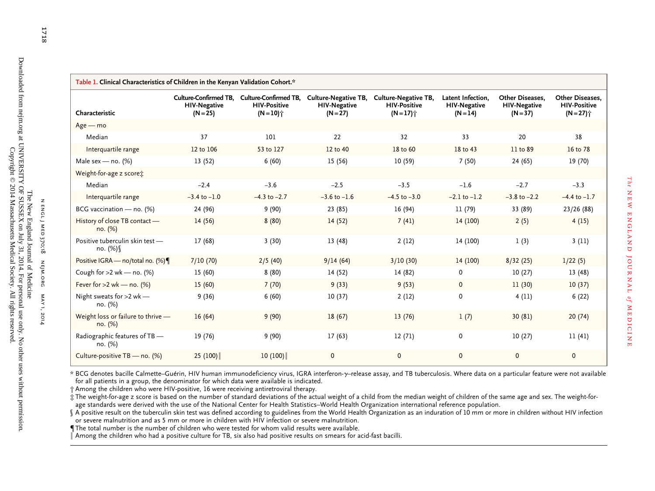| Table 1. Clinical Characteristics of Children in the Kenyan Validation Cohort.* |                                   |                                                                                       |                                                                  |                                                                             |                                                        |                                                      |                                                                   |  |  |  |  |
|---------------------------------------------------------------------------------|-----------------------------------|---------------------------------------------------------------------------------------|------------------------------------------------------------------|-----------------------------------------------------------------------------|--------------------------------------------------------|------------------------------------------------------|-------------------------------------------------------------------|--|--|--|--|
| Characteristic                                                                  | <b>HIV-Negative</b><br>$(N = 25)$ | Culture-Confirmed TB, Culture-Confirmed TB,<br><b>HIV-Positive</b><br>$(N = 10)^{11}$ | <b>Culture-Negative TB,</b><br><b>HIV-Negative</b><br>$(N = 27)$ | <b>Culture-Negative TB,</b><br><b>HIV-Positive</b><br>$(N=17)$ <sup>*</sup> | Latent Infection.<br><b>HIV-Negative</b><br>$(N = 14)$ | Other Diseases.<br><b>HIV-Negative</b><br>$(N = 37)$ | Other Diseases.<br><b>HIV-Positive</b><br>$(N = 27)$ <sup>*</sup> |  |  |  |  |
| $Age - mo$                                                                      |                                   |                                                                                       |                                                                  |                                                                             |                                                        |                                                      |                                                                   |  |  |  |  |
| Median                                                                          | 37                                | 101                                                                                   | 22                                                               | 32                                                                          | 33                                                     | 20                                                   | 38                                                                |  |  |  |  |
| Interquartile range                                                             | 12 to 106                         | 53 to 127                                                                             | 12 to 40                                                         | 18 to 60                                                                    | 18 to 43                                               | 11 to 89                                             | 16 to 78                                                          |  |  |  |  |
| Male sex - no. $(%)$                                                            | 13(52)                            | 6(60)                                                                                 | 15 (56)                                                          | 10(59)                                                                      | 7(50)                                                  | 24 (65)                                              | 19 (70)                                                           |  |  |  |  |
| Weight-for-age z score ::                                                       |                                   |                                                                                       |                                                                  |                                                                             |                                                        |                                                      |                                                                   |  |  |  |  |
| Median                                                                          | $-2.4$                            | $-3.6$                                                                                | $-2.5$                                                           | $-3.5$                                                                      | $-1.6$                                                 | $-2.7$                                               | $-3.3$                                                            |  |  |  |  |
| Interquartile range                                                             | $-3.4$ to $-1.0$                  | $-4.3$ to $-2.7$                                                                      | $-3.6$ to $-1.6$                                                 | $-4.5$ to $-3.0$                                                            | $-2.1$ to $-1.2$                                       | $-3.8$ to $-2.2$                                     | $-4.4$ to $-1.7$                                                  |  |  |  |  |
| BCG vaccination - no. (%)                                                       | 24 (96)                           | 9(90)                                                                                 | 23 (85)                                                          | 16 (94)                                                                     | 11(79)                                                 | 33 (89)                                              | 23/26 (88)                                                        |  |  |  |  |
| History of close TB contact -<br>no. (%)                                        | 14(56)                            | 8(80)                                                                                 | 14(52)                                                           | 7(41)                                                                       | 14(100)                                                | 2(5)                                                 | 4(15)                                                             |  |  |  |  |
| Positive tuberculin skin test -<br>no. $(%)$                                    | 17 (68)                           | 3(30)                                                                                 | 13(48)                                                           | 2(12)                                                                       | 14 (100)                                               | 1(3)                                                 | 3(11)                                                             |  |  |  |  |
| Positive IGRA - no/total no. (%)                                                | 7/10(70)                          | 2/5(40)                                                                               | 9/14(64)                                                         | 3/10(30)                                                                    | 14(100)                                                | 8/32(25)                                             | 1/22(5)                                                           |  |  |  |  |
| Cough for $>2$ wk - no. (%)                                                     | 15 (60)                           | 8(80)                                                                                 | 14 (52)                                                          | 14 (82)                                                                     | 0                                                      | 10(27)                                               | 13(48)                                                            |  |  |  |  |
| Fever for $>2$ wk - no. (%)                                                     | 15(60)                            | 7(70)                                                                                 | 9(33)                                                            | 9(53)                                                                       | $\mathbf 0$                                            | 11(30)                                               | 10(37)                                                            |  |  |  |  |
| Night sweats for >2 wk -<br>no. (%)                                             | 9(36)                             | 6(60)                                                                                 | 10(37)                                                           | 2(12)                                                                       | 0                                                      | 4(11)                                                | 6(22)                                                             |  |  |  |  |
| Weight loss or failure to thrive -<br>no. (%)                                   | 16(64)                            | 9(90)                                                                                 | 18(67)                                                           | 13(76)                                                                      | 1(7)                                                   | 30(81)                                               | 20(74)                                                            |  |  |  |  |
| Radiographic features of TB -<br>no. (%)                                        | 19 (76)                           | 9(90)                                                                                 | 17(63)                                                           | 12(71)                                                                      | $\mathbf 0$                                            | 10(27)                                               | 11(41)                                                            |  |  |  |  |
| Culture-positive TB - no. (%)                                                   | 25(100)                           | 10(100)                                                                               | $\mathbf 0$                                                      | $\Omega$                                                                    | $\mathbf{0}$                                           | $\Omega$                                             | $\mathbf 0$                                                       |  |  |  |  |

*The*

new england journal

*o f*

medicine

\* BCG denotes bacille Calmette–Guérin, HIV human immunodeficiency virus, IGRA interferon-γ–release assay, and TB tuberculosis. Where data on a particular feature were not available for all patients in a group, the denominator for which data were available is indicated.

† Among the children who were HIV-positive, 16 were receiving antiretroviral therapy.

‡ The weight-for-age z score is based on the number of standard deviations of the actual weight of a child from the median weight of children of the same age and sex. The weight-forage standards were derived with the use of the National Center for Health Statistics–World Health Organization international reference population.

§ A positive result on the tuberculin skin test was defined according to guidelines from the World Health Organization as an induration of 10 mm or more in children without HIV infection or severe malnutrition and as 5 mm or more in children with HIV infection or severe malnutrition.

¶ The total number is the number of children who were tested for whom valid results were available.

‖ Among the children who had a positive culture for TB, six also had positive results on smears for acid-fast bacilli.

n engl j med ENGL J MED 370;18

nejm.org may

1,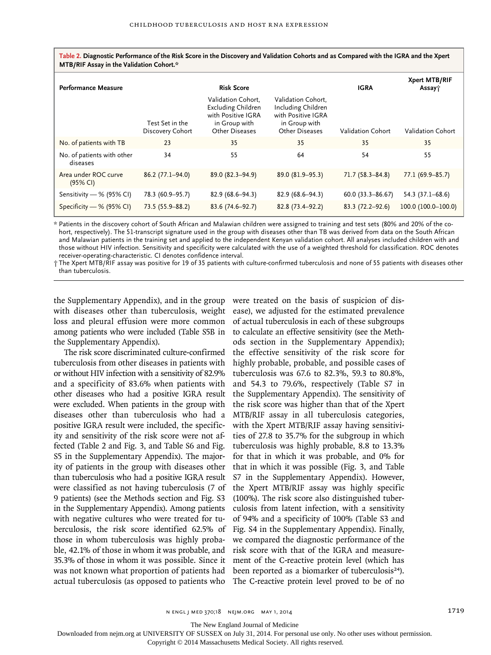**Table 2. Diagnostic Performance of the Risk Score in the Discovery and Validation Cohorts and as Compared with the IGRA and the Xpert MTB/RIF Assay in the Validation Cohort.\***

| <b>Performance Measure</b>             |                                     | <b>Risk Score</b>                                                                                        | <b>IGRA</b>                                                                                       | Xpert MTB/RIF<br>Assay† |                     |
|----------------------------------------|-------------------------------------|----------------------------------------------------------------------------------------------------------|---------------------------------------------------------------------------------------------------|-------------------------|---------------------|
|                                        | Test Set in the<br>Discovery Cohort | Validation Cohort,<br><b>Excluding Children</b><br>with Positive IGRA<br>in Group with<br>Other Diseases | Validation Cohort.<br>Including Children<br>with Positive IGRA<br>in Group with<br>Other Diseases | Validation Cohort       | Validation Cohort   |
| No. of patients with TB                | 23                                  | 35                                                                                                       | 35                                                                                                | 35                      | 35                  |
| No. of patients with other<br>diseases | 34                                  | 55                                                                                                       | 64                                                                                                | 54                      | 55                  |
| Area under ROC curve<br>(95% CI)       | $86.2(77.1-94.0)$                   | 89.0 (82.3–94.9)                                                                                         | 89.0 (81.9-95.3)                                                                                  | $71.7(58.3 - 84.8)$     | 77.1 (69.9-85.7)    |
| Sensitivity $-$ % (95% CI)             | 78.3 (60.9-95.7)                    | $82.9(68.6 - 94.3)$                                                                                      | 82.9 (68.6-94.3)                                                                                  | $60.0(33.3 - 86.67)$    | 54.3 (37.1–68.6)    |
| Specificity $-$ % (95% CI)             | 73.5 (55.9-88.2)                    | 83.6 (74.6-92.7)                                                                                         | 82.8 (73.4-92.2)                                                                                  | $83.3(72.2 - 92.6)$     | 100.0 (100.0-100.0) |

\* Patients in the discovery cohort of South African and Malawian children were assigned to training and test sets (80% and 20% of the cohort, respectively). The 51-transcript signature used in the group with diseases other than TB was derived from data on the South African and Malawian patients in the training set and applied to the independent Kenyan validation cohort. All analyses included children with and those without HIV infection. Sensitivity and specificity were calculated with the use of a weighted threshold for classification. ROC denotes receiver-operating-characteristic. CI denotes confidence interval.

† The Xpert MTB/RIF assay was positive for 19 of 35 patients with culture-confirmed tuberculosis and none of 55 patients with diseases other than tuberculosis.

the Supplementary Appendix), and in the group with diseases other than tuberculosis, weight loss and pleural effusion were more common among patients who were included (Table S5B in the Supplementary Appendix).

The risk score discriminated culture-confirmed tuberculosis from other diseases in patients with or without HIV infection with a sensitivity of 82.9% and a specificity of 83.6% when patients with other diseases who had a positive IGRA result were excluded. When patients in the group with diseases other than tuberculosis who had a positive IGRA result were included, the specificity and sensitivity of the risk score were not affected (Table 2 and Fig. 3, and Table S6 and Fig. S5 in the Supplementary Appendix). The majority of patients in the group with diseases other than tuberculosis who had a positive IGRA result were classified as not having tuberculosis (7 of 9 patients) (see the Methods section and Fig. S3 in the Supplementary Appendix). Among patients with negative cultures who were treated for tuberculosis, the risk score identified 62.5% of those in whom tuberculosis was highly probable, 42.1% of those in whom it was probable, and 35.3% of those in whom it was possible. Since it was not known what proportion of patients had actual tuberculosis (as opposed to patients who

were treated on the basis of suspicion of disease), we adjusted for the estimated prevalence of actual tuberculosis in each of these subgroups to calculate an effective sensitivity (see the Methods section in the Supplementary Appendix); the effective sensitivity of the risk score for highly probable, probable, and possible cases of tuberculosis was 67.6 to 82.3%, 59.3 to 80.8%, and 54.3 to 79.6%, respectively (Table S7 in the Supplementary Appendix). The sensitivity of the risk score was higher than that of the Xpert MTB/RIF assay in all tuberculosis categories, with the Xpert MTB/RIF assay having sensitivities of 27.8 to 35.7% for the subgroup in which tuberculosis was highly probable, 8.8 to 13.3% for that in which it was probable, and 0% for that in which it was possible (Fig. 3, and Table S7 in the Supplementary Appendix). However, the Xpert MTB/RIF assay was highly specific (100%). The risk score also distinguished tuberculosis from latent infection, with a sensitivity of 94% and a specificity of 100% (Table S3 and Fig. S4 in the Supplementary Appendix). Finally, we compared the diagnostic performance of the risk score with that of the IGRA and measurement of the C-reactive protein level (which has been reported as a biomarker of tuberculosis<sup>24</sup>). The C-reactive protein level proved to be of no

The New England Journal of Medicine

Downloaded from nejm.org at UNIVERSITY OF SUSSEX on July 31, 2014. For personal use only. No other uses without permission.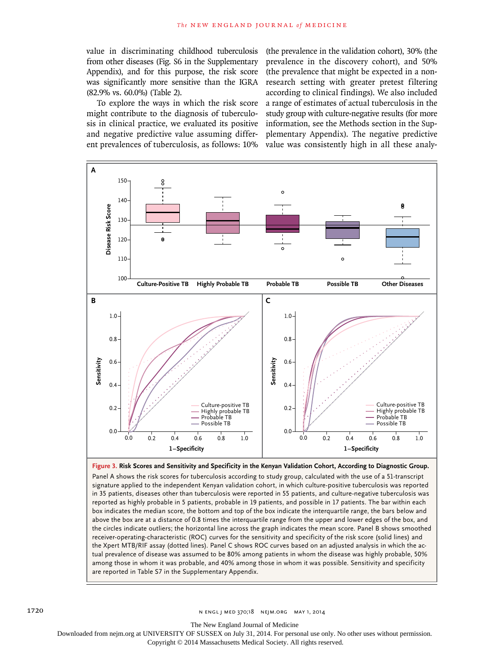value in discriminating childhood tuberculosis from other diseases (Fig. S6 in the Supplementary Appendix), and for this purpose, the risk score was significantly more sensitive than the IGRA (82.9% vs. 60.0%) (Table 2).

To explore the ways in which the risk score might contribute to the diagnosis of tuberculosis in clinical practice, we evaluated its positive and negative predictive value assuming different prevalences of tuberculosis, as follows: 10%

(the prevalence in the validation cohort), 30% (the prevalence in the discovery cohort), and 50% (the prevalence that might be expected in a nonresearch setting with greater pretest filtering according to clinical findings). We also included a range of estimates of actual tuberculosis in the study group with culture-negative results (for more information, see the Methods section in the Supplementary Appendix). The negative predictive value was consistently high in all these analy-



in 35 patients, diseases other than tuberculosis were reported in 55 patients, and culture-negative tuberculosis was reported as highly probable in 5 patients, probable in 19 patients, and possible in 17 patients. The bar within each box indicates the median score, the bottom and top of the box indicate the interquartile range, the bars below and above the box are at a distance of 0.8 times the interquartile range from the upper and lower edges of the box, and the circles indicate outliers; the horizontal line across the graph indicates the mean score. Panel B shows smoothed receiver- operating-characteristic (ROC) curves for the sensitivity and specificity of the risk score (solid lines) and the Xpert MTB/RIF assay (dotted lines). Panel C shows ROC curves based on an adjusted analysis in which the actual prevalence of disease was assumed to be 80% among patients in whom the disease was highly probable, 50% among those in whom it was probable, and 40% among those in whom it was possible. Sensitivity and specificity are reported in Table S7 in the Supplementary Appendix.

The New England Journal of Medicine

Downloaded from nejm.org at UNIVERSITY OF SUSSEX on July 31, 2014. For personal use only. No other uses without permission.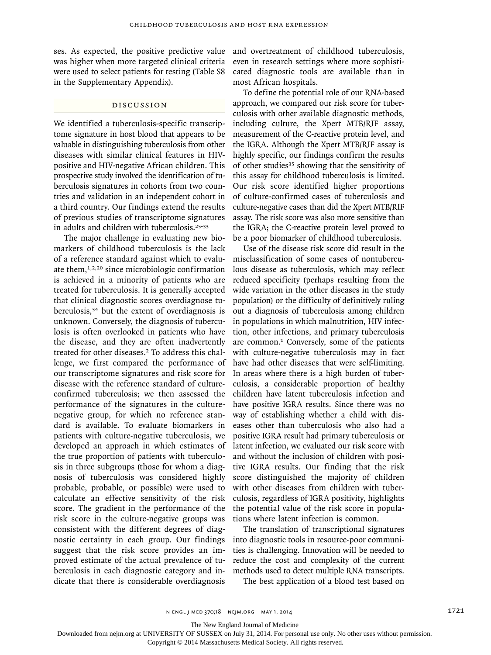ses. As expected, the positive predictive value was higher when more targeted clinical criteria were used to select patients for testing (Table S8 in the Supplementary Appendix).

#### Discussion

We identified a tuberculosis-specific transcriptome signature in host blood that appears to be valuable in distinguishing tuberculosis from other diseases with similar clinical features in HIVpositive and HIV-negative African children. This prospective study involved the identification of tuberculosis signatures in cohorts from two countries and validation in an independent cohort in a third country. Our findings extend the results of previous studies of transcriptome signatures in adults and children with tuberculosis.25-33

The major challenge in evaluating new biomarkers of childhood tuberculosis is the lack of a reference standard against which to evaluate them,1,2,20 since microbiologic confirmation is achieved in a minority of patients who are treated for tuberculosis. It is generally accepted that clinical diagnostic scores overdiagnose tuberculosis,34 but the extent of overdiagnosis is unknown. Conversely, the diagnosis of tuberculosis is often overlooked in patients who have the disease, and they are often inadvertently treated for other diseases.<sup>2</sup> To address this challenge, we first compared the performance of our transcriptome signatures and risk score for disease with the reference standard of cultureconfirmed tuberculosis; we then assessed the performance of the signatures in the culturenegative group, for which no reference standard is available. To evaluate biomarkers in patients with culture-negative tuberculosis, we developed an approach in which estimates of the true proportion of patients with tuberculosis in three subgroups (those for whom a diagnosis of tuberculosis was considered highly probable, probable, or possible) were used to calculate an effective sensitivity of the risk score. The gradient in the performance of the risk score in the culture-negative groups was consistent with the different degrees of diagnostic certainty in each group. Our findings suggest that the risk score provides an improved estimate of the actual prevalence of tuberculosis in each diagnostic category and indicate that there is considerable overdiagnosis

and overtreatment of childhood tuberculosis, even in research settings where more sophisticated diagnostic tools are available than in most African hospitals.

To define the potential role of our RNA-based approach, we compared our risk score for tuberculosis with other available diagnostic methods, including culture, the Xpert MTB/RIF assay, measurement of the C-reactive protein level, and the IGRA. Although the Xpert MTB/RIF assay is highly specific, our findings confirm the results of other studies<sup>35</sup> showing that the sensitivity of this assay for childhood tuberculosis is limited. Our risk score identified higher proportions of culture-confirmed cases of tuberculosis and culture-negative cases than did the Xpert MTB/RIF assay. The risk score was also more sensitive than the IGRA; the C-reactive protein level proved to be a poor biomarker of childhood tuberculosis.

Use of the disease risk score did result in the misclassification of some cases of nontuberculous disease as tuberculosis, which may reflect reduced specificity (perhaps resulting from the wide variation in the other diseases in the study population) or the difficulty of definitively ruling out a diagnosis of tuberculosis among children in populations in which malnutrition, HIV infection, other infections, and primary tuberculosis are common.<sup>1</sup> Conversely, some of the patients with culture-negative tuberculosis may in fact have had other diseases that were self-limiting. In areas where there is a high burden of tuberculosis, a considerable proportion of healthy children have latent tuberculosis infection and have positive IGRA results. Since there was no way of establishing whether a child with diseases other than tuberculosis who also had a positive IGRA result had primary tuberculosis or latent infection, we evaluated our risk score with and without the inclusion of children with positive IGRA results. Our finding that the risk score distinguished the majority of children with other diseases from children with tuberculosis, regardless of IGRA positivity, highlights the potential value of the risk score in populations where latent infection is common.

The translation of transcriptional signatures into diagnostic tools in resource-poor communities is challenging. Innovation will be needed to reduce the cost and complexity of the current methods used to detect multiple RNA transcripts. The best application of a blood test based on

The New England Journal of Medicine

Downloaded from nejm.org at UNIVERSITY OF SUSSEX on July 31, 2014. For personal use only. No other uses without permission.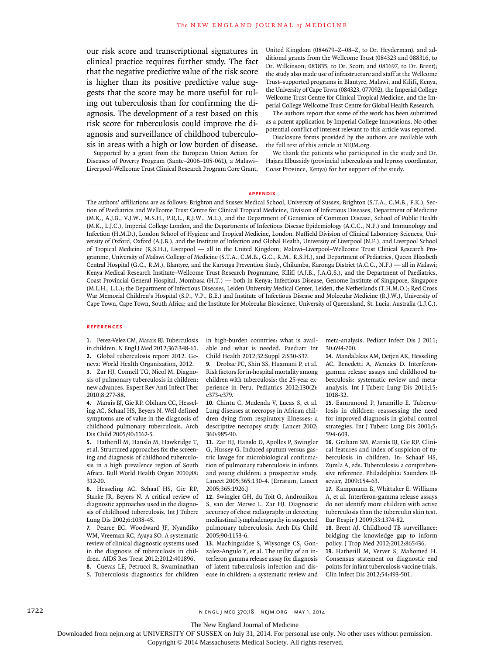our risk score and transcriptional signatures in clinical practice requires further study. The fact that the negative predictive value of the risk score is higher than its positive predictive value suggests that the score may be more useful for ruling out tuberculosis than for confirming the diagnosis. The development of a test based on this risk score for tuberculosis could improve the diagnosis and surveillance of childhood tuberculosis in areas with a high or low burden of disease.

Supported by a grant from the European Union Action for Diseases of Poverty Program (Sante–2006–105-061), a Malawi– Liverpool–Wellcome Trust Clinical Research Program Core Grant, United Kingdom (084679–Z–08–Z, to Dr. Heyderman), and additional grants from the Wellcome Trust (084323 and 088316, to Dr. Wilkinson; 081835, to Dr. Scott; and 081697, to Dr. Brent); the study also made use of infrastructure and staff at the Wellcome Trust–supported programs in Blantyre, Malawi, and Kilifi, Kenya, the University of Cape Town (084323, 077092), the Imperial College Wellcome Trust Centre for Clinical Tropical Medicine, and the Imperial College Wellcome Trust Centre for Global Health Research.

The authors report that some of the work has been submitted as a patent application by Imperial College Innovations. No other potential conflict of interest relevant to this article was reported. Disclosure forms provided by the authors are available with the full text of this article at NEJM.org.

We thank the patients who participated in the study and Dr. Hajara Elbusaidy (provincial tuberculosis and leprosy coordinator, Coast Province, Kenya) for her support of the study.

#### **appendix**

The authors' affiliations are as follows: Brighton and Sussex Medical School, University of Sussex, Brighton (S.T.A., C.M.B., F.K.), Section of Paediatrics and Wellcome Trust Centre for Clinical Tropical Medicine, Division of Infectious Diseases, Department of Medicine (M.K., A.J.B., V.J.W., M.S.H., P.R.L., R.J.W., M.L.), and the Department of Genomics of Common Disease, School of Public Health (M.K., L.J.C.), Imperial College London, and the Departments of Infectious Disease Epidemiology (A.C.C., N.F.) and Immunology and Infection (H.M.D.), London School of Hygiene and Tropical Medicine, London, Nuffield Division of Clinical Laboratory Sciences, University of Oxford, Oxford (A.J.B.), and the Institute of Infection and Global Health, University of Liverpool (N.F.), and Liverpool School of Tropical Medicine (R.S.H.), Liverpool — all in the United Kingdom; Malawi–Liverpool–Wellcome Trust Clinical Research Programme, University of Malawi College of Medicine (S.T.A., C.M.B., G.C., R.M., R.S.H.), and Department of Pediatrics, Queen Elizabeth Central Hospital (G.C., R.M.), Blantyre, and the Karonga Prevention Study, Chilumba, Karonga District (A.C.C., N.F.) — all in Malawi; Kenya Medical Research Institute–Wellcome Trust Research Programme, Kilifi (A.J.B., J.A.G.S.), and the Department of Paediatrics, Coast Provincial General Hospital, Mombasa (H.T.) — both in Kenya; Infectious Disease, Genome Institute of Singapore, Singapore (M.L.H., L.L.); the Department of Infectious Diseases, Leiden University Medical Center, Leiden, the Netherlands (T.H.M.O.); Red Cross War Memorial Children's Hospital (S.P., V.P., B.E.) and Institute of Infectious Disease and Molecular Medicine (R.J.W.), University of Cape Town, Cape Town, South Africa; and the Institute for Molecular Bioscience, University of Queensland, St. Lucia, Australia (L.J.C.).

#### **References**

**1.** Perez-Velez CM, Marais BJ. Tuberculosis in children. N Engl J Med 2012;367:348-61. **2.** Global tuberculosis report 2012. Geneva: World Health Organization, 2012.

**3.** Zar HJ, Connell TG, Nicol M. Diagnosis of pulmonary tuberculosis in children: new advances. Expert Rev Anti Infect Ther 2010;8:277-88.

**4.** Marais BJ, Gie RP, Obihara CC, Hesseling AC, Schaaf HS, Beyers N. Well defined symptoms are of value in the diagnosis of childhood pulmonary tuberculosis. Arch Dis Child 2005;90:1162-5.

**5.** Hatherill M, Hanslo M, Hawkridge T, et al. Structured approaches for the screening and diagnosis of childhood tuberculosis in a high prevalence region of South Africa. Bull World Health Organ 2010;88: 312-20.

**6.** Hesseling AC, Schaaf HS, Gie RP, Starke JR, Beyers N. A critical review of diagnostic approaches used in the diagnosis of childhood tuberculosis. Int J Tuberc Lung Dis 2002;6:1038-45.

**7.** Pearce EC, Woodward JF, Nyandiko WM, Vreeman RC, Ayaya SO. A systematic review of clinical diagnostic systems used in the diagnosis of tuberculosis in children. AIDS Res Treat 2012;2012:401896. **8.** Cuevas LE, Petrucci R, Swaminathan S. Tuberculosis diagnostics for children

in high-burden countries: what is available and what is needed. Paediatr Int Child Health 2012;32:Suppl 2:S30-S37.

**9.** Drobac PC, Shin SS, Huamani P, et al. Risk factors for in-hospital mortality among children with tuberculosis: the 25-year experience in Peru. Pediatrics 2012;130(2): e373-e379.

**10.** Chintu C, Mudenda V, Lucas S, et al. Lung diseases at necropsy in African children dying from respiratory illnesses: a descriptive necropsy study. Lancet 2002; 360:985-90.

**11.** Zar HJ, Hanslo D, Apolles P, Swingler G, Hussey G. Induced sputum versus gastric lavage for microbiological confirmation of pulmonary tuberculosis in infants and young children: a prospective study. Lancet 2005;365:130-4. [Erratum, Lancet 2005;365:1926.]

**12.** Swingler GH, du Toit G, Andronikou S, van der Merwe L, Zar HJ. Diagnostic accuracy of chest radiography in detecting mediastinal lymphadenopathy in suspected pulmonary tuberculosis. Arch Dis Child 2005;90:1153-6.

**13.** Machingaidze S, Wiysonge CS, Gonzalez-Angulo Y, et al. The utility of an interferon gamma release assay for diagnosis of latent tuberculosis infection and disease in children: a systematic review and meta-analysis. Pediatr Infect Dis J 2011; 30:694-700.

**14.** Mandalakas AM, Detjen AK, Hesseling AC, Benedetti A, Menzies D. Interferongamma release assays and childhood tuberculosis: systematic review and metaanalysis. Int J Tuberc Lung Dis 2011;15: 1018-32.

**15.** Eamranond P, Jaramillo E. Tuberculosis in children: reassessing the need for improved diagnosis in global control strategies. Int J Tuberc Lung Dis 2001;5: 594-603.

**16.** Graham SM, Marais BJ, Gie RP. Clinical features and index of suspicion of tuberculosis in children. In: Schaaf HS, Zumla A, eds. Tuberculosis: a comprehensive reference. Philadelphia: Saunders Elsevier, 2009:154-63.

**17.** Kampmann B, Whittaker E, Williams A, et al. Interferon-gamma release assays do not identify more children with active tuberculosis than the tuberculin skin test. Eur Respir J 2009;33:1374-82.

**18.** Brent AJ. Childhood TB surveillance: bridging the knowledge gap to inform policy. J Trop Med 2012;2012:865436.

**19.** Hatherill M, Verver S, Mahomed H. Consensus statement on diagnostic end points for infant tuberculosis vaccine trials. Clin Infect Dis 2012;54:493-501.

1722 **n engl j med 370;18 n engl j med 370**;18 nejm.org may 1, 2014

The New England Journal of Medicine

Downloaded from nejm.org at UNIVERSITY OF SUSSEX on July 31, 2014. For personal use only. No other uses without permission.